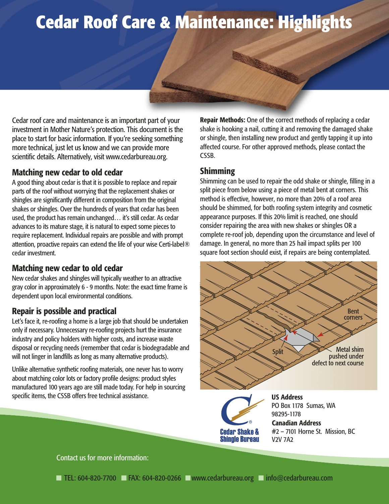# **Cedar Roof Care & Maintenance: Highlights**

Cedar roof care and maintenance is an important part of your investment in Mother Nature's protection. This document is the place to start for basic information. If you're seeking something more technical, just let us know and we can provide more scientific details. Alternatively, visit www.cedarbureau.org.

## Matching new cedar to old cedar

A good thing about cedar is that it is possible to replace and repair parts of the roof without worrying that the replacement shakes or shingles are significantly different in composition from the original shakes or shingles. Over the hundreds of years that cedar has been used, the product has remain unchanged… it's still cedar. As cedar advances to its mature stage, it is natural to expect some pieces to require replacement. Individual repairs are possible and with prompt attention, proactive repairs can extend the life of your wise Certi-label® cedar investment.

#### Matching new cedar to old cedar

New cedar shakes and shingles will typically weather to an attractive gray color in approximately 6 - 9 months. Note: the exact time frame is dependent upon local environmental conditions.

## Repair is possible and practical

Let's face it, re-roofing a home is a large job that should be undertaken only if necessary. Unnecessary re-roofing projects hurt the insurance industry and policy holders with higher costs, and increase waste disposal or recycling needs (remember that cedar is biodegradable and will not linger in landfills as long as many alternative products).

Unlike alternative synthetic roofing materials, one never has to worry about matching color lots or factory profile designs: product styles manufactured 100 years ago are still made today. For help in sourcing specific items, the CSSB offers free technical assistance.

Repair Methods: One of the correct methods of replacing a cedar shake is hooking a nail, cutting it and removing the damaged shake or shingle, then installing new product and gently tapping it up into affected course. For other approved methods, please contact the CSSB.

#### Shimming

Shimming can be used to repair the odd shake or shingle, filling in a split piece from below using a piece of metal bent at corners. This method is effective, however, no more than 20% of a roof area should be shimmed, for both roofing system integrity and cosmetic appearance purposes. If this 20% limit is reached, one should consider repairing the area with new shakes or shingles OR a complete re-roof job, depending upon the circumstance and level of damage. In general, no more than 25 hail impact splits per 100 square foot section should exist, if repairs are being contemplated.



#2 – 7101 Horne St. Mission, BC V2V 7A2

Contact us for more information:

**Cedar Shake & Shingle Bureau**